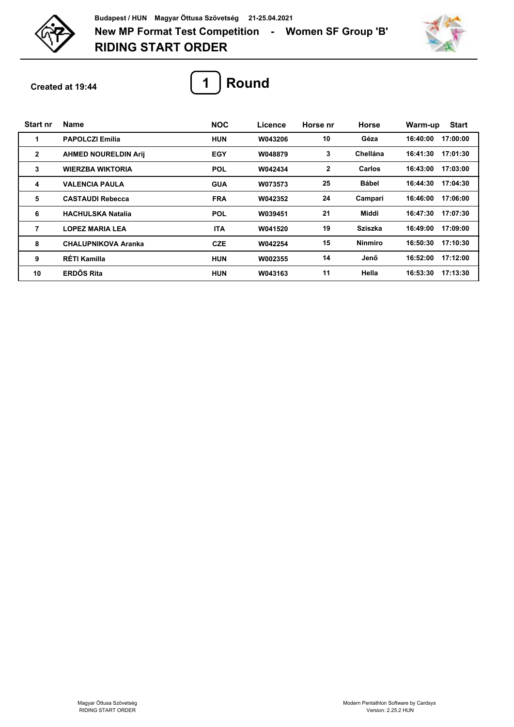

**RIDING START ORDER New MP Format Test Competition - Women SF Group 'B' Budapest / HUN Magyar Öttusa Szövetség 21-25.04.2021**



**Created at 19:44**



| <b>Start nr</b> | <b>Name</b>                 | <b>NOC</b> | Licence | Horse nr     | <b>Horse</b>   | <b>Start</b><br>Warm-up |
|-----------------|-----------------------------|------------|---------|--------------|----------------|-------------------------|
| 1               | <b>PAPOLCZI Emília</b>      | <b>HUN</b> | W043206 | 10           | Géza           | 16:40:00<br>17:00:00    |
| $\mathbf{2}$    | <b>AHMED NOURELDIN Arij</b> | EGY        | W048879 | 3            | Chellána       | 16:41:30<br>17:01:30    |
| 3               | <b>WIERZBA WIKTORIA</b>     | <b>POL</b> | W042434 | $\mathbf{2}$ | Carlos         | 16:43:00<br>17:03:00    |
| 4               | <b>VALENCIA PAULA</b>       | <b>GUA</b> | W073573 | 25           | <b>Bábel</b>   | 17:04:30<br>16:44:30    |
| 5               | <b>CASTAUDI Rebecca</b>     | <b>FRA</b> | W042352 | 24           | Campari        | 17:06:00<br>16:46:00    |
| 6               | <b>HACHULSKA Natalia</b>    | <b>POL</b> | W039451 | 21           | Middi          | 16:47:30<br>17:07:30    |
| 7               | <b>LOPEZ MARIA LEA</b>      | <b>ITA</b> | W041520 | 19           | <b>Sziszka</b> | 17:09:00<br>16:49:00    |
| 8               | <b>CHALUPNIKOVA Aranka</b>  | <b>CZE</b> | W042254 | 15           | <b>Ninmiro</b> | 17:10:30<br>16:50:30    |
| 9               | RÉTI Kamilla                | <b>HUN</b> | W002355 | 14           | Jenő           | 17:12:00<br>16:52:00    |
| 10              | <b>ERDŐS Rita</b>           | <b>HUN</b> | W043163 | 11           | Hella          | 17:13:30<br>16:53:30    |